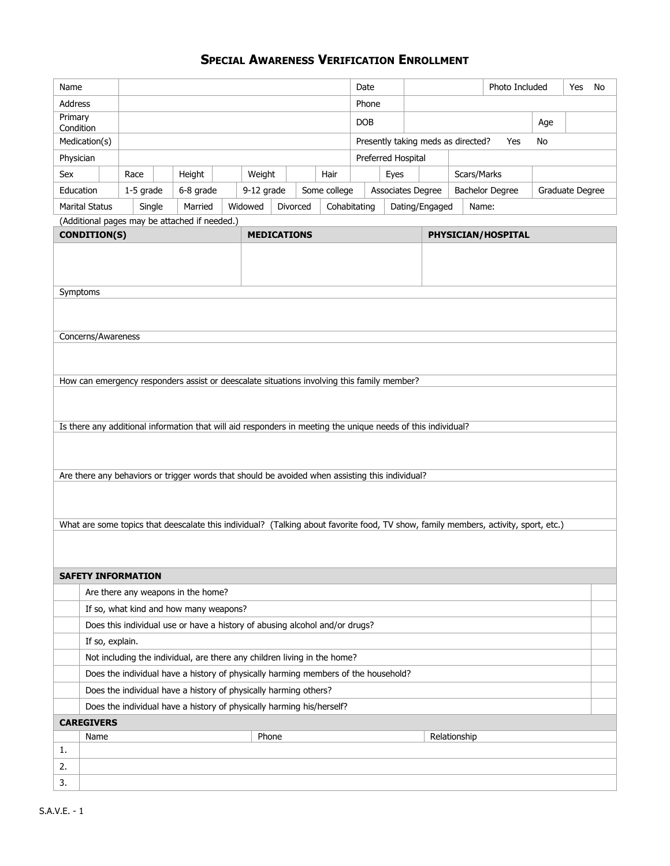## **SPECIAL AWARENESS VERIFICATION ENROLLMENT**

| Name                                                                                                         |                                                                  |                                                                                    |  |                                                                                                                                     |                    | Date               |  |                                | Photo Included |                    |                                                 | Yes<br>No                |  |                                           |  |  |     |  |  |
|--------------------------------------------------------------------------------------------------------------|------------------------------------------------------------------|------------------------------------------------------------------------------------|--|-------------------------------------------------------------------------------------------------------------------------------------|--------------------|--------------------|--|--------------------------------|----------------|--------------------|-------------------------------------------------|--------------------------|--|-------------------------------------------|--|--|-----|--|--|
| <b>Address</b>                                                                                               |                                                                  |                                                                                    |  |                                                                                                                                     |                    |                    |  |                                |                | Phone              |                                                 |                          |  |                                           |  |  |     |  |  |
| Primary                                                                                                      |                                                                  |                                                                                    |  |                                                                                                                                     |                    |                    |  |                                |                | <b>DOB</b>         |                                                 |                          |  |                                           |  |  | Age |  |  |
| Condition<br>Medication(s)                                                                                   |                                                                  |                                                                                    |  |                                                                                                                                     |                    |                    |  |                                |                |                    | Presently taking meds as directed?<br>Yes<br>No |                          |  |                                           |  |  |     |  |  |
| Physician                                                                                                    |                                                                  |                                                                                    |  |                                                                                                                                     |                    | Preferred Hospital |  |                                |                |                    |                                                 |                          |  |                                           |  |  |     |  |  |
| Sex                                                                                                          |                                                                  | Race                                                                               |  | Height                                                                                                                              |                    | Weight             |  |                                | Hair           |                    | Eyes                                            |                          |  | Scars/Marks                               |  |  |     |  |  |
| Education                                                                                                    |                                                                  | $1-5$ grade                                                                        |  | 6-8 grade                                                                                                                           |                    | 9-12 grade         |  |                                | Some college   |                    |                                                 | <b>Associates Degree</b> |  | <b>Bachelor Degree</b><br>Graduate Degree |  |  |     |  |  |
| <b>Marital Status</b><br>Married<br>Single                                                                   |                                                                  |                                                                                    |  | Widowed<br>Divorced                                                                                                                 |                    |                    |  | Dating/Engaged<br>Cohabitating |                |                    |                                                 | Name:                    |  |                                           |  |  |     |  |  |
|                                                                                                              |                                                                  |                                                                                    |  | (Additional pages may be attached if needed.)                                                                                       |                    |                    |  |                                |                |                    |                                                 |                          |  |                                           |  |  |     |  |  |
|                                                                                                              | <b>CONDITION(S)</b>                                              |                                                                                    |  |                                                                                                                                     | <b>MEDICATIONS</b> |                    |  |                                |                | PHYSICIAN/HOSPITAL |                                                 |                          |  |                                           |  |  |     |  |  |
|                                                                                                              |                                                                  |                                                                                    |  |                                                                                                                                     |                    |                    |  |                                |                |                    |                                                 |                          |  |                                           |  |  |     |  |  |
|                                                                                                              |                                                                  |                                                                                    |  |                                                                                                                                     |                    |                    |  |                                |                |                    |                                                 |                          |  |                                           |  |  |     |  |  |
|                                                                                                              |                                                                  |                                                                                    |  |                                                                                                                                     |                    |                    |  |                                |                |                    |                                                 |                          |  |                                           |  |  |     |  |  |
| Symptoms                                                                                                     |                                                                  |                                                                                    |  |                                                                                                                                     |                    |                    |  |                                |                |                    |                                                 |                          |  |                                           |  |  |     |  |  |
|                                                                                                              |                                                                  |                                                                                    |  |                                                                                                                                     |                    |                    |  |                                |                |                    |                                                 |                          |  |                                           |  |  |     |  |  |
|                                                                                                              | Concerns/Awareness                                               |                                                                                    |  |                                                                                                                                     |                    |                    |  |                                |                |                    |                                                 |                          |  |                                           |  |  |     |  |  |
|                                                                                                              |                                                                  |                                                                                    |  |                                                                                                                                     |                    |                    |  |                                |                |                    |                                                 |                          |  |                                           |  |  |     |  |  |
|                                                                                                              |                                                                  |                                                                                    |  |                                                                                                                                     |                    |                    |  |                                |                |                    |                                                 |                          |  |                                           |  |  |     |  |  |
|                                                                                                              |                                                                  |                                                                                    |  | How can emergency responders assist or deescalate situations involving this family member?                                          |                    |                    |  |                                |                |                    |                                                 |                          |  |                                           |  |  |     |  |  |
|                                                                                                              |                                                                  |                                                                                    |  |                                                                                                                                     |                    |                    |  |                                |                |                    |                                                 |                          |  |                                           |  |  |     |  |  |
|                                                                                                              |                                                                  |                                                                                    |  |                                                                                                                                     |                    |                    |  |                                |                |                    |                                                 |                          |  |                                           |  |  |     |  |  |
| Is there any additional information that will aid responders in meeting the unique needs of this individual? |                                                                  |                                                                                    |  |                                                                                                                                     |                    |                    |  |                                |                |                    |                                                 |                          |  |                                           |  |  |     |  |  |
|                                                                                                              |                                                                  |                                                                                    |  |                                                                                                                                     |                    |                    |  |                                |                |                    |                                                 |                          |  |                                           |  |  |     |  |  |
|                                                                                                              |                                                                  |                                                                                    |  |                                                                                                                                     |                    |                    |  |                                |                |                    |                                                 |                          |  |                                           |  |  |     |  |  |
|                                                                                                              |                                                                  |                                                                                    |  | Are there any behaviors or trigger words that should be avoided when assisting this individual?                                     |                    |                    |  |                                |                |                    |                                                 |                          |  |                                           |  |  |     |  |  |
|                                                                                                              |                                                                  |                                                                                    |  |                                                                                                                                     |                    |                    |  |                                |                |                    |                                                 |                          |  |                                           |  |  |     |  |  |
|                                                                                                              |                                                                  |                                                                                    |  |                                                                                                                                     |                    |                    |  |                                |                |                    |                                                 |                          |  |                                           |  |  |     |  |  |
|                                                                                                              |                                                                  |                                                                                    |  | What are some topics that deescalate this individual? (Talking about favorite food, TV show, family members, activity, sport, etc.) |                    |                    |  |                                |                |                    |                                                 |                          |  |                                           |  |  |     |  |  |
|                                                                                                              |                                                                  |                                                                                    |  |                                                                                                                                     |                    |                    |  |                                |                |                    |                                                 |                          |  |                                           |  |  |     |  |  |
|                                                                                                              |                                                                  |                                                                                    |  |                                                                                                                                     |                    |                    |  |                                |                |                    |                                                 |                          |  |                                           |  |  |     |  |  |
|                                                                                                              |                                                                  | <b>SAFETY INFORMATION</b>                                                          |  |                                                                                                                                     |                    |                    |  |                                |                |                    |                                                 |                          |  |                                           |  |  |     |  |  |
|                                                                                                              |                                                                  | Are there any weapons in the home?                                                 |  |                                                                                                                                     |                    |                    |  |                                |                |                    |                                                 |                          |  |                                           |  |  |     |  |  |
|                                                                                                              |                                                                  | If so, what kind and how many weapons?                                             |  |                                                                                                                                     |                    |                    |  |                                |                |                    |                                                 |                          |  |                                           |  |  |     |  |  |
|                                                                                                              |                                                                  | Does this individual use or have a history of abusing alcohol and/or drugs?        |  |                                                                                                                                     |                    |                    |  |                                |                |                    |                                                 |                          |  |                                           |  |  |     |  |  |
|                                                                                                              | If so, explain.                                                  |                                                                                    |  |                                                                                                                                     |                    |                    |  |                                |                |                    |                                                 |                          |  |                                           |  |  |     |  |  |
|                                                                                                              |                                                                  |                                                                                    |  | Not including the individual, are there any children living in the home?                                                            |                    |                    |  |                                |                |                    |                                                 |                          |  |                                           |  |  |     |  |  |
|                                                                                                              |                                                                  | Does the individual have a history of physically harming members of the household? |  |                                                                                                                                     |                    |                    |  |                                |                |                    |                                                 |                          |  |                                           |  |  |     |  |  |
|                                                                                                              | Does the individual have a history of physically harming others? |                                                                                    |  |                                                                                                                                     |                    |                    |  |                                |                |                    |                                                 |                          |  |                                           |  |  |     |  |  |
| Does the individual have a history of physically harming his/herself?                                        |                                                                  |                                                                                    |  |                                                                                                                                     |                    |                    |  |                                |                |                    |                                                 |                          |  |                                           |  |  |     |  |  |
| <b>CAREGIVERS</b>                                                                                            |                                                                  |                                                                                    |  |                                                                                                                                     |                    |                    |  |                                |                |                    |                                                 |                          |  |                                           |  |  |     |  |  |
|                                                                                                              | Name                                                             |                                                                                    |  |                                                                                                                                     |                    | Phone              |  |                                |                |                    |                                                 |                          |  | Relationship                              |  |  |     |  |  |
| 1.                                                                                                           |                                                                  |                                                                                    |  |                                                                                                                                     |                    |                    |  |                                |                |                    |                                                 |                          |  |                                           |  |  |     |  |  |
| 2.                                                                                                           |                                                                  |                                                                                    |  |                                                                                                                                     |                    |                    |  |                                |                |                    |                                                 |                          |  |                                           |  |  |     |  |  |
| 3.                                                                                                           |                                                                  |                                                                                    |  |                                                                                                                                     |                    |                    |  |                                |                |                    |                                                 |                          |  |                                           |  |  |     |  |  |